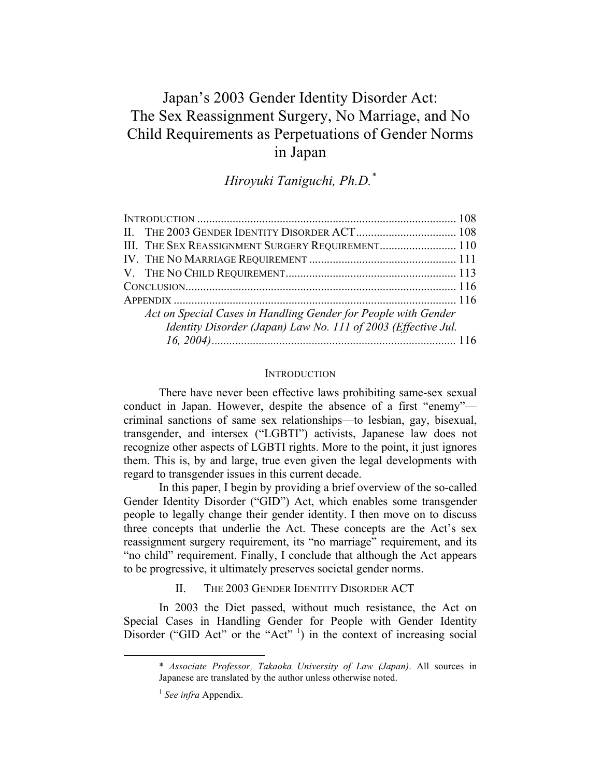# Japan's 2003 Gender Identity Disorder Act: The Sex Reassignment Surgery, No Marriage, and No Child Requirements as Perpetuations of Gender Norms in Japan

# *Hiroyuki Taniguchi, Ph.D.\**

| III. THE SEX REASSIGNMENT SURGERY REQUIREMENT 110              |  |
|----------------------------------------------------------------|--|
|                                                                |  |
|                                                                |  |
|                                                                |  |
|                                                                |  |
| Act on Special Cases in Handling Gender for People with Gender |  |
| Identity Disorder (Japan) Law No. 111 of 2003 (Effective Jul.  |  |
|                                                                |  |

#### **INTRODUCTION**

There have never been effective laws prohibiting same-sex sexual conduct in Japan. However, despite the absence of a first "enemy" criminal sanctions of same sex relationships—to lesbian, gay, bisexual, transgender, and intersex ("LGBTI") activists, Japanese law does not recognize other aspects of LGBTI rights. More to the point, it just ignores them. This is, by and large, true even given the legal developments with regard to transgender issues in this current decade.

In this paper, I begin by providing a brief overview of the so-called Gender Identity Disorder ("GID") Act, which enables some transgender people to legally change their gender identity. I then move on to discuss three concepts that underlie the Act. These concepts are the Act's sex reassignment surgery requirement, its "no marriage" requirement, and its "no child" requirement. Finally, I conclude that although the Act appears to be progressive, it ultimately preserves societal gender norms.

II. THE 2003 GENDER IDENTITY DISORDER ACT

In 2003 the Diet passed, without much resistance, the Act on Special Cases in Handling Gender for People with Gender Identity Disorder ("GID Act" or the "Act"  $\frac{1}{1}$ ) in the context of increasing social

 <sup>\*</sup> *Associate Professor, Takaoka University of Law (Japan)*. All sources in Japanese are translated by the author unless otherwise noted.

<sup>1</sup> *See infra* Appendix.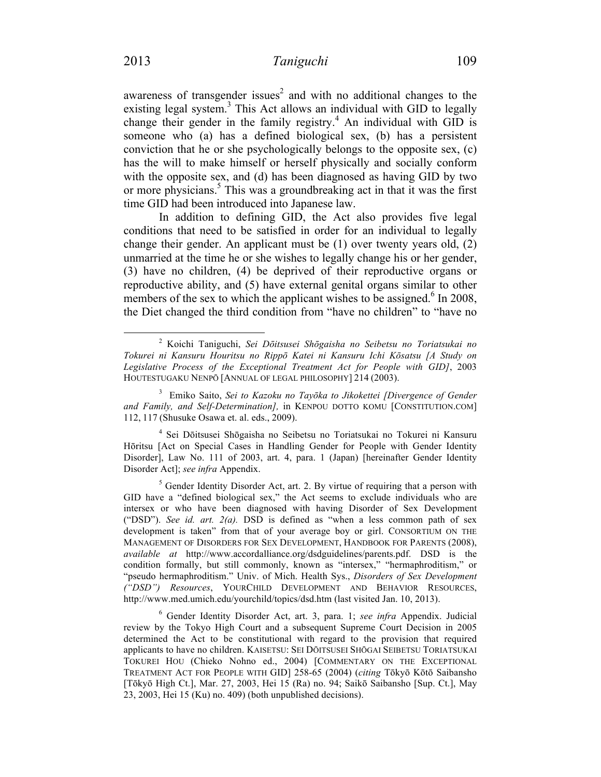awareness of transgender issues<sup>2</sup> and with no additional changes to the existing legal system.<sup>3</sup> This Act allows an individual with GID to legally change their gender in the family registry.<sup>4</sup> An individual with GID is someone who (a) has a defined biological sex, (b) has a persistent conviction that he or she psychologically belongs to the opposite sex, (c) has the will to make himself or herself physically and socially conform with the opposite sex, and (d) has been diagnosed as having GID by two or more physicians. <sup>5</sup> This was a groundbreaking act in that it was the first time GID had been introduced into Japanese law.

In addition to defining GID, the Act also provides five legal conditions that need to be satisfied in order for an individual to legally change their gender. An applicant must be (1) over twenty years old, (2) unmarried at the time he or she wishes to legally change his or her gender, (3) have no children, (4) be deprived of their reproductive organs or reproductive ability, and (5) have external genital organs similar to other members of the sex to which the applicant wishes to be assigned.<sup>6</sup> In 2008, the Diet changed the third condition from "have no children" to "have no

<sup>4</sup> Sei Dōitsusei Shōgaisha no Seibetsu no Toriatsukai no Tokurei ni Kansuru Hōritsu [Act on Special Cases in Handling Gender for People with Gender Identity Disorder], Law No. 111 of 2003, art. 4, para. 1 (Japan) [hereinafter Gender Identity Disorder Act]; *see infra* Appendix.

 $<sup>5</sup>$  Gender Identity Disorder Act, art. 2. By virtue of requiring that a person with</sup> GID have a "defined biological sex," the Act seems to exclude individuals who are intersex or who have been diagnosed with having Disorder of Sex Development ("DSD"). *See id. art. 2(a).* DSD is defined as "when a less common path of sex development is taken" from that of your average boy or girl. CONSORTIUM ON THE MANAGEMENT OF DISORDERS FOR SEX DEVELOPMENT, HANDBOOK FOR PARENTS (2008), *available at* http://www.accordalliance.org/dsdguidelines/parents.pdf. DSD is the condition formally, but still commonly, known as "intersex," "hermaphroditism," or "pseudo hermaphroditism." Univ. of Mich. Health Sys., *Disorders of Sex Development ("DSD") Resources*, YOURCHILD DEVELOPMENT AND BEHAVIOR RESOURCES, http://www.med.umich.edu/yourchild/topics/dsd.htm (last visited Jan. 10, 2013).

<sup>6</sup> Gender Identity Disorder Act, art. 3, para. 1; *see infra* Appendix. Judicial review by the Tokyo High Court and a subsequent Supreme Court Decision in 2005 determined the Act to be constitutional with regard to the provision that required applicants to have no children. KAISETSU: SEI DŌITSUSEI SHŌGAI SEIBETSU TORIATSUKAI TOKUREI HOU (Chieko Nohno ed., 2004) [COMMENTARY ON THE EXCEPTIONAL TREATMENT ACT FOR PEOPLE WITH GID] 258-65 (2004) (*citing* Tōkyō Kōtō Saibansho [Tōkyō High Ct.], Mar. 27, 2003, Hei 15 (Ra) no. 94; Saikō Saibansho [Sup. Ct.], May 23, 2003, Hei 15 (Ku) no. 409) (both unpublished decisions).

 <sup>2</sup> Koichi Taniguchi, *Sei Dōitsusei Shōgaisha no Seibetsu no Toriatsukai no Tokurei ni Kansuru Houritsu no Rippō Katei ni Kansuru Ichi Kōsatsu [A Study on Legislative Process of the Exceptional Treatment Act for People with GID]*, 2003 HOUTESTUGAKU NENPŌ [ANNUAL OF LEGAL PHILOSOPHY] 214 (2003).

<sup>3</sup> Emiko Saito, *Sei to Kazoku no Tayōka to Jikokettei [Divergence of Gender and Family, and Self-Determination],* in KENPOU DOTTO KOMU [CONSTITUTION.COM] 112, 117 (Shusuke Osawa et. al. eds., 2009).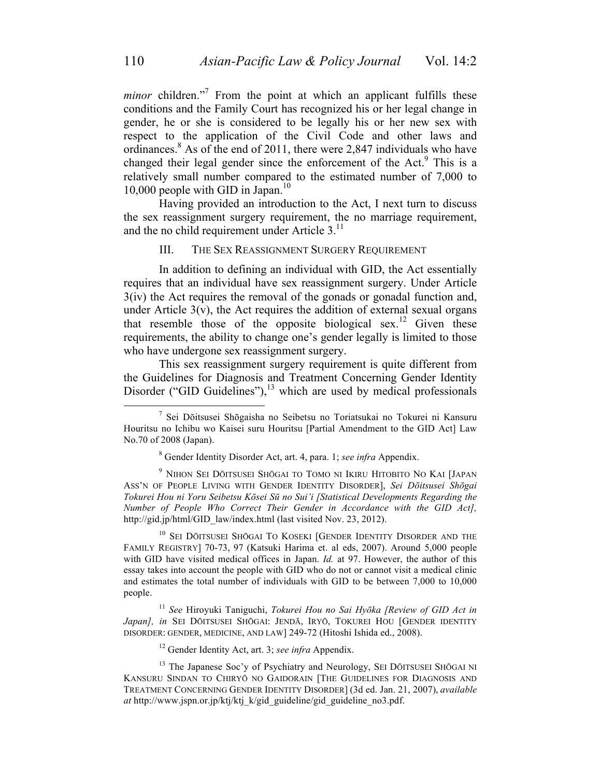*minor* children."<sup>7</sup> From the point at which an applicant fulfills these conditions and the Family Court has recognized his or her legal change in gender, he or she is considered to be legally his or her new sex with respect to the application of the Civil Code and other laws and ordinances. <sup>8</sup> As of the end of 2011, there were 2,847 individuals who have changed their legal gender since the enforcement of the Act.<sup>9</sup> This is a relatively small number compared to the estimated number of 7,000 to 10,000 people with GID in Japan. 10

Having provided an introduction to the Act, I next turn to discuss the sex reassignment surgery requirement, the no marriage requirement, and the no child requirement under Article 3.<sup>11</sup>

### III. THE SEX REASSIGNMENT SURGERY REQUIREMENT

In addition to defining an individual with GID, the Act essentially requires that an individual have sex reassignment surgery. Under Article 3(iv) the Act requires the removal of the gonads or gonadal function and, under Article  $3(v)$ , the Act requires the addition of external sexual organs that resemble those of the opposite biological sex.<sup>12</sup> Given these requirements, the ability to change one's gender legally is limited to those who have undergone sex reassignment surgery.

This sex reassignment surgery requirement is quite different from the Guidelines for Diagnosis and Treatment Concerning Gender Identity Disorder ("GID Guidelines"), $^{13}$  which are used by medical professionals

<sup>10</sup> SEI DŌITSUSEI SHŌGAI TO KOSEKI [GENDER IDENTITY DISORDER AND THE FAMILY REGISTRY] 70-73, 97 (Katsuki Harima et. al eds, 2007). Around 5,000 people with GID have visited medical offices in Japan. *Id.* at 97. However, the author of this essay takes into account the people with GID who do not or cannot visit a medical clinic and estimates the total number of individuals with GID to be between 7,000 to 10,000 people.

<sup>11</sup> *See* Hiroyuki Taniguchi, *Tokurei Hou no Sai Hyōka [Review of GID Act in Japan], in* SEI DŌITSUSEI SHŌGAI: JENDĀ, IRYŌ, TOKUREI HOU [GENDER IDENTITY DISORDER: GENDER, MEDICINE, AND LAW] 249-72 (Hitoshi Ishida ed., 2008).

<sup>12</sup> Gender Identity Act, art. 3; *see infra* Appendix.

<sup>13</sup> The Japanese Soc'y of Psychiatry and Neurology, SEI DŌITSUSEI SHŌGAI NI KANSURU SINDAN TO CHIRYŌ NO GAIDORAIN [THE GUIDELINES FOR DIAGNOSIS AND TREATMENT CONCERNING GENDER IDENTITY DISORDER] (3d ed. Jan. 21, 2007), *available at* http://www.jspn.or.jp/ktj/ktj\_k/gid\_guideline/gid\_guideline\_no3.pdf.

 <sup>7</sup> Sei Dōitsusei Shōgaisha no Seibetsu no Toriatsukai no Tokurei ni Kansuru Houritsu no Ichibu wo Kaisei suru Houritsu [Partial Amendment to the GID Act] Law No.70 of 2008 (Japan).

<sup>8</sup> Gender Identity Disorder Act, art. 4, para. 1; *see infra* Appendix.

<sup>9</sup> NIHON SEI DŌITSUSEI SHŌGAI TO TOMO NI IKIRU HITOBITO NO KAI [JAPAN ASS'N OF PEOPLE LIVING WITH GENDER IDENTITY DISORDER], *Sei Dōitsusei Shōgai Tokurei Hou ni Yoru Seibetsu Kōsei Sū no Sui'i [Statistical Developments Regarding the Number of People Who Correct Their Gender in Accordance with the GID Act],* http://gid.jp/html/GID\_law/index.html (last visited Nov. 23, 2012).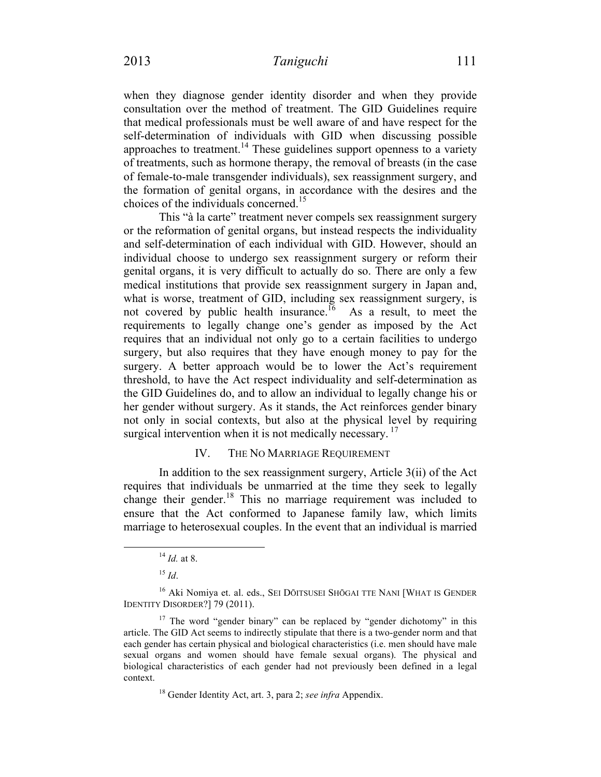when they diagnose gender identity disorder and when they provide consultation over the method of treatment. The GID Guidelines require that medical professionals must be well aware of and have respect for the self-determination of individuals with GID when discussing possible approaches to treatment.<sup>14</sup> These guidelines support openness to a variety of treatments, such as hormone therapy, the removal of breasts (in the case of female-to-male transgender individuals), sex reassignment surgery, and the formation of genital organs, in accordance with the desires and the choices of the individuals concerned.<sup>15</sup>

This "à la carte" treatment never compels sex reassignment surgery or the reformation of genital organs, but instead respects the individuality and self-determination of each individual with GID. However, should an individual choose to undergo sex reassignment surgery or reform their genital organs, it is very difficult to actually do so. There are only a few medical institutions that provide sex reassignment surgery in Japan and, what is worse, treatment of GID, including sex reassignment surgery, is not covered by public health insurance.<sup>16</sup> As a result, to meet the requirements to legally change one's gender as imposed by the Act requires that an individual not only go to a certain facilities to undergo surgery, but also requires that they have enough money to pay for the surgery. A better approach would be to lower the Act's requirement threshold, to have the Act respect individuality and self-determination as the GID Guidelines do, and to allow an individual to legally change his or her gender without surgery. As it stands, the Act reinforces gender binary not only in social contexts, but also at the physical level by requiring surgical intervention when it is not medically necessary.  $\frac{1}{1}$ 

# IV. THE NO MARRIAGE REQUIREMENT

In addition to the sex reassignment surgery, Article 3(ii) of the Act requires that individuals be unmarried at the time they seek to legally change their gender.<sup>18</sup> This no marriage requirement was included to ensure that the Act conformed to Japanese family law, which limits marriage to heterosexual couples. In the event that an individual is married

 <sup>14</sup> *Id.* at 8.

 $^{15}$  *Id*.

<sup>&</sup>lt;sup>16</sup> Aki Nomiya et. al. eds., SEI DŌITSUSEI SHŌGAI TTE NANI [WHAT IS GENDER IDENTITY DISORDER?] 79 (2011).

<sup>&</sup>lt;sup>17</sup> The word "gender binary" can be replaced by "gender dichotomy" in this article. The GID Act seems to indirectly stipulate that there is a two-gender norm and that each gender has certain physical and biological characteristics (i.e. men should have male sexual organs and women should have female sexual organs). The physical and biological characteristics of each gender had not previously been defined in a legal context.

<sup>18</sup> Gender Identity Act, art. 3, para 2; *see infra* Appendix.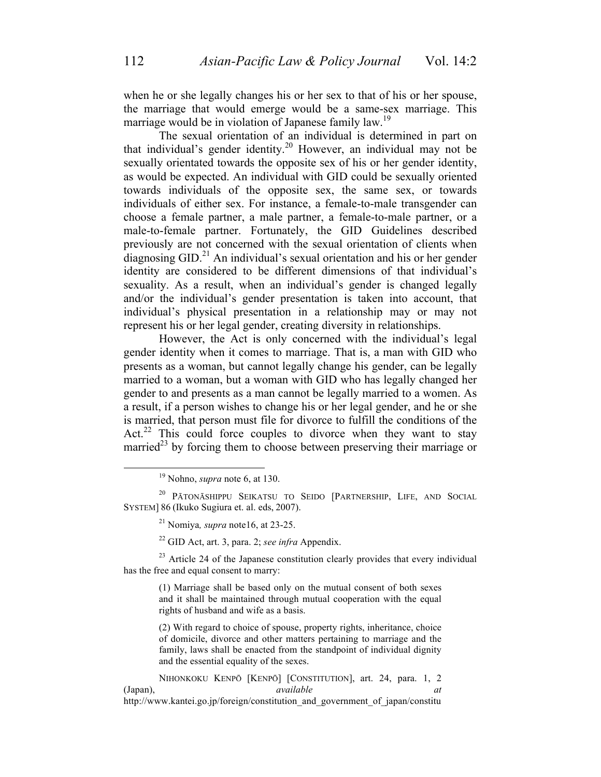when he or she legally changes his or her sex to that of his or her spouse, the marriage that would emerge would be a same-sex marriage. This marriage would be in violation of Japanese family law.<sup>19</sup>

The sexual orientation of an individual is determined in part on that individual's gender identity. <sup>20</sup> However, an individual may not be sexually orientated towards the opposite sex of his or her gender identity, as would be expected. An individual with GID could be sexually oriented towards individuals of the opposite sex, the same sex, or towards individuals of either sex. For instance, a female-to-male transgender can choose a female partner, a male partner, a female-to-male partner, or a male-to-female partner. Fortunately, the GID Guidelines described previously are not concerned with the sexual orientation of clients when  $\frac{1}{2}$  diagnosing GID.<sup>21</sup> An individual's sexual orientation and his or her gender identity are considered to be different dimensions of that individual's sexuality. As a result, when an individual's gender is changed legally and/or the individual's gender presentation is taken into account, that individual's physical presentation in a relationship may or may not represent his or her legal gender, creating diversity in relationships.

However, the Act is only concerned with the individual's legal gender identity when it comes to marriage. That is, a man with GID who presents as a woman, but cannot legally change his gender, can be legally married to a woman, but a woman with GID who has legally changed her gender to and presents as a man cannot be legally married to a women. As a result, if a person wishes to change his or her legal gender, and he or she is married, that person must file for divorce to fulfill the conditions of the Act.<sup>22</sup> This could force couples to divorce when they want to stay married<sup>23</sup> by forcing them to choose between preserving their marriage or

<sup>22</sup> GID Act, art. 3, para. 2; *see infra* Appendix.

 $23$  Article 24 of the Japanese constitution clearly provides that every individual has the free and equal consent to marry:

(1) Marriage shall be based only on the mutual consent of both sexes and it shall be maintained through mutual cooperation with the equal rights of husband and wife as a basis.

(2) With regard to choice of spouse, property rights, inheritance, choice of domicile, divorce and other matters pertaining to marriage and the family, laws shall be enacted from the standpoint of individual dignity and the essential equality of the sexes.

NIHONKOKU KENPŌ [KENPŌ] [CONSTITUTION], art. 24, para. 1, 2 (Japan), *available at*  http://www.kantei.go.jp/foreign/constitution\_and\_government\_of\_japan/constitu

 <sup>19</sup> Nohno, *supra* note 6, at 130.

<sup>20</sup> PĀTONĀSHIPPU SEIKATSU TO SEIDO [PARTNERSHIP, LIFE, AND SOCIAL SYSTEM] 86 (Ikuko Sugiura et. al. eds, 2007).

<sup>21</sup> Nomiya*, supra* note16, at 23-25.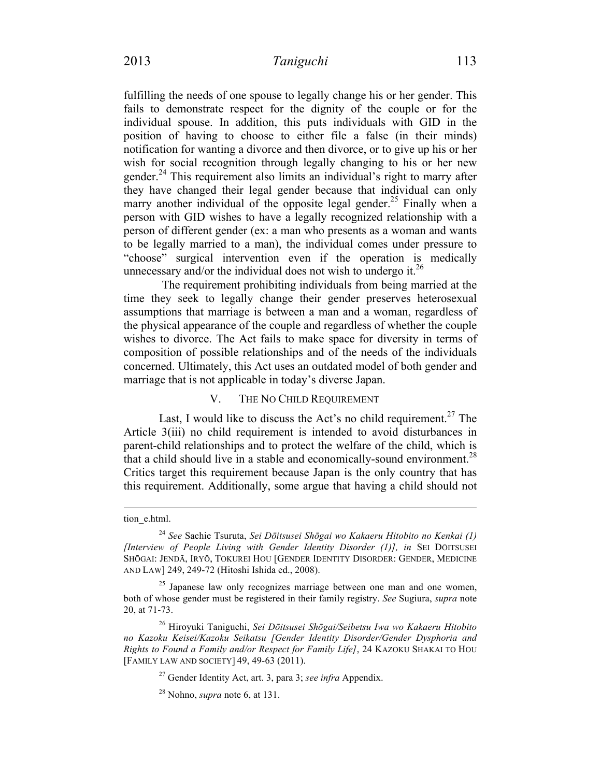fulfilling the needs of one spouse to legally change his or her gender. This fails to demonstrate respect for the dignity of the couple or for the individual spouse. In addition, this puts individuals with GID in the position of having to choose to either file a false (in their minds) notification for wanting a divorce and then divorce, or to give up his or her wish for social recognition through legally changing to his or her new gender.<sup>24</sup> This requirement also limits an individual's right to marry after they have changed their legal gender because that individual can only marry another individual of the opposite legal gender.<sup>25</sup> Finally when a person with GID wishes to have a legally recognized relationship with a person of different gender (ex: a man who presents as a woman and wants to be legally married to a man), the individual comes under pressure to "choose" surgical intervention even if the operation is medically unnecessary and/or the individual does not wish to undergo it.<sup>26</sup>

The requirement prohibiting individuals from being married at the time they seek to legally change their gender preserves heterosexual assumptions that marriage is between a man and a woman, regardless of the physical appearance of the couple and regardless of whether the couple wishes to divorce. The Act fails to make space for diversity in terms of composition of possible relationships and of the needs of the individuals concerned. Ultimately, this Act uses an outdated model of both gender and marriage that is not applicable in today's diverse Japan.

#### V. THE NO CHILD REQUIREMENT

Last, I would like to discuss the Act's no child requirement.<sup>27</sup> The Article 3(iii) no child requirement is intended to avoid disturbances in parent-child relationships and to protect the welfare of the child, which is that a child should live in a stable and economically-sound environment.<sup>28</sup> Critics target this requirement because Japan is the only country that has this requirement. Additionally, some argue that having a child should not

<sup>27</sup> Gender Identity Act, art. 3, para 3; *see infra* Appendix.

tion\_e.html.

<sup>24</sup> *See* Sachie Tsuruta, *Sei Dōitsusei Shōgai wo Kakaeru Hitobito no Kenkai (1) [Interview of People Living with Gender Identity Disorder (1)], in* SEI DŌITSUSEI SHŌGAI: JENDĀ, IRYŌ, TOKUREI HOU [GENDER IDENTITY DISORDER: GENDER, MEDICINE AND LAW] 249, 249-72 (Hitoshi Ishida ed., 2008).

<sup>&</sup>lt;sup>25</sup> Japanese law only recognizes marriage between one man and one women, both of whose gender must be registered in their family registry. *See* Sugiura, *supra* note 20, at 71-73.

<sup>26</sup> Hiroyuki Taniguchi, *Sei Dōitsusei Shōgai/Seibetsu Iwa wo Kakaeru Hitobito no Kazoku Keisei/Kazoku Seikatsu [Gender Identity Disorder/Gender Dysphoria and Rights to Found a Family and/or Respect for Family Life]*, 24 KAZOKU SHAKAI TO HOU [FAMILY LAW AND SOCIETY] 49, 49-63 (2011).

<sup>28</sup> Nohno, *supra* note 6, at 131.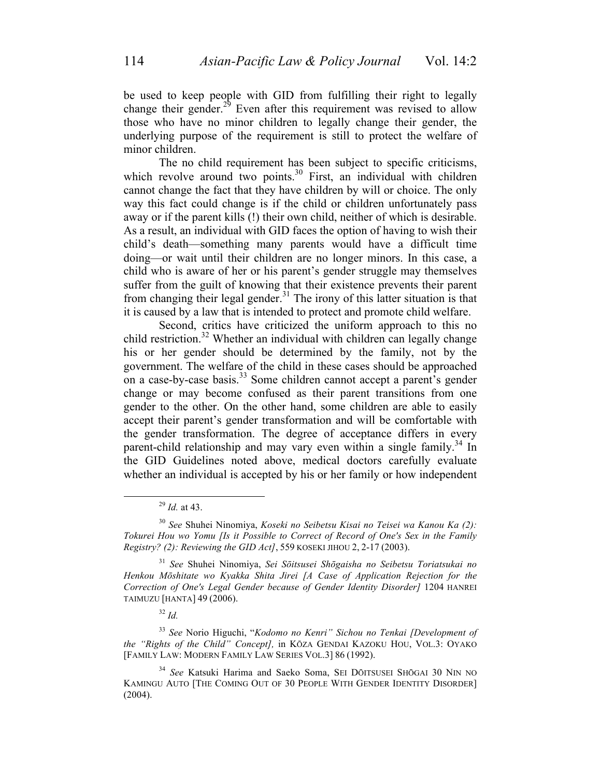be used to keep people with GID from fulfilling their right to legally change their gender. $^{29}$  Even after this requirement was revised to allow those who have no minor children to legally change their gender, the underlying purpose of the requirement is still to protect the welfare of minor children.

The no child requirement has been subject to specific criticisms, which revolve around two points.<sup>30</sup> First, an individual with children cannot change the fact that they have children by will or choice. The only way this fact could change is if the child or children unfortunately pass away or if the parent kills (!) their own child, neither of which is desirable. As a result, an individual with GID faces the option of having to wish their child's death—something many parents would have a difficult time doing—or wait until their children are no longer minors. In this case, a child who is aware of her or his parent's gender struggle may themselves suffer from the guilt of knowing that their existence prevents their parent from changing their legal gender.<sup>31</sup> The irony of this latter situation is that it is caused by a law that is intended to protect and promote child welfare.

Second, critics have criticized the uniform approach to this no child restriction.<sup>32</sup> Whether an individual with children can legally change his or her gender should be determined by the family, not by the government. The welfare of the child in these cases should be approached on a case-by-case basis.<sup>33</sup> Some children cannot accept a parent's gender change or may become confused as their parent transitions from one gender to the other. On the other hand, some children are able to easily accept their parent's gender transformation and will be comfortable with the gender transformation. The degree of acceptance differs in every parent-child relationship and may vary even within a single family.<sup>34</sup> In the GID Guidelines noted above, medical doctors carefully evaluate whether an individual is accepted by his or her family or how independent

 <sup>29</sup> *Id.* at 43.

<sup>30</sup> *See* Shuhei Ninomiya, *Koseki no Seibetsu Kisai no Teisei wa Kanou Ka (2): Tokurei Hou wo Yomu [Is it Possible to Correct of Record of One's Sex in the Family Registry? (2): Reviewing the GID Act]*, 559 KOSEKI JIHOU 2, 2-17 (2003).

<sup>31</sup> *See* Shuhei Ninomiya, *Sei Sōitsusei Shōgaisha no Seibetsu Toriatsukai no Henkou Mōshitate wo Kyakka Shita Jirei [A Case of Application Rejection for the Correction of One's Legal Gender because of Gender Identity Disorder]* 1204 HANREI TAIMUZU [HANTA] 49 (2006).

<sup>32</sup> *Id.*

<sup>33</sup> *See* Norio Higuchi, "*Kodomo no Kenri" Sichou no Tenkai [Development of the "Rights of the Child" Concept],* in KŌZA GENDAI KAZOKU HOU, VOL.3: OYAKO [FAMILY LAW: MODERN FAMILY LAW SERIES VOL.3] 86 (1992).

<sup>34</sup> *See* Katsuki Harima and Saeko Soma, SEI DŌITSUSEI SHŌGAI 30 NIN NO KAMINGU AUTO [THE COMING OUT OF 30 PEOPLE WITH GENDER IDENTITY DISORDER]  $(2004)$ .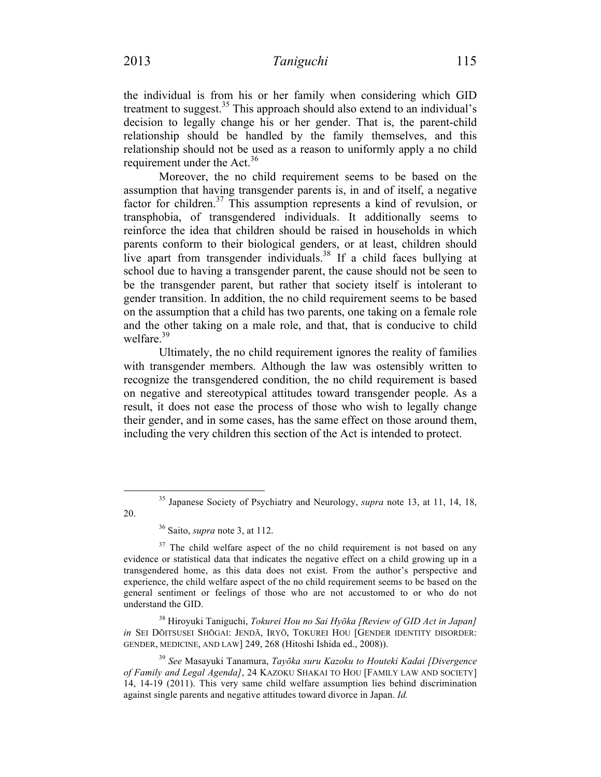the individual is from his or her family when considering which GID treatment to suggest. $35$  This approach should also extend to an individual's decision to legally change his or her gender. That is, the parent-child relationship should be handled by the family themselves, and this relationship should not be used as a reason to uniformly apply a no child requirement under the Act. $36$ 

Moreover, the no child requirement seems to be based on the assumption that having transgender parents is, in and of itself, a negative factor for children.<sup>37</sup> This assumption represents a kind of revulsion, or transphobia, of transgendered individuals. It additionally seems to reinforce the idea that children should be raised in households in which parents conform to their biological genders, or at least, children should live apart from transgender individuals.<sup>38</sup> If a child faces bullying at school due to having a transgender parent, the cause should not be seen to be the transgender parent, but rather that society itself is intolerant to gender transition. In addition, the no child requirement seems to be based on the assumption that a child has two parents, one taking on a female role and the other taking on a male role, and that, that is conducive to child welfare.<sup>39</sup>

Ultimately, the no child requirement ignores the reality of families with transgender members. Although the law was ostensibly written to recognize the transgendered condition, the no child requirement is based on negative and stereotypical attitudes toward transgender people. As a result, it does not ease the process of those who wish to legally change their gender, and in some cases, has the same effect on those around them, including the very children this section of the Act is intended to protect.

 <sup>35</sup> Japanese Society of Psychiatry and Neurology, *supra* note 13, at 11, 14, 18, 20.

<sup>36</sup> Saito, *supra* note 3, at 112.

 $37$  The child welfare aspect of the no child requirement is not based on any evidence or statistical data that indicates the negative effect on a child growing up in a transgendered home, as this data does not exist. From the author's perspective and experience, the child welfare aspect of the no child requirement seems to be based on the general sentiment or feelings of those who are not accustomed to or who do not understand the GID.

<sup>38</sup> Hiroyuki Taniguchi, *Tokurei Hou no Sai Hyōka [Review of GID Act in Japan] in* SEI DŌITSUSEI SHŌGAI: JENDĀ, IRYŌ, TOKUREI HOU [GENDER IDENTITY DISORDER: GENDER, MEDICINE, AND LAW] 249, 268 (Hitoshi Ishida ed., 2008)).

<sup>39</sup> *See* Masayuki Tanamura, *Tayōka suru Kazoku to Houteki Kadai [Divergence of Family and Legal Agenda]*, 24 KAZOKU SHAKAI TO HOU [FAMILY LAW AND SOCIETY] 14, 14-19 (2011). This very same child welfare assumption lies behind discrimination against single parents and negative attitudes toward divorce in Japan. *Id.*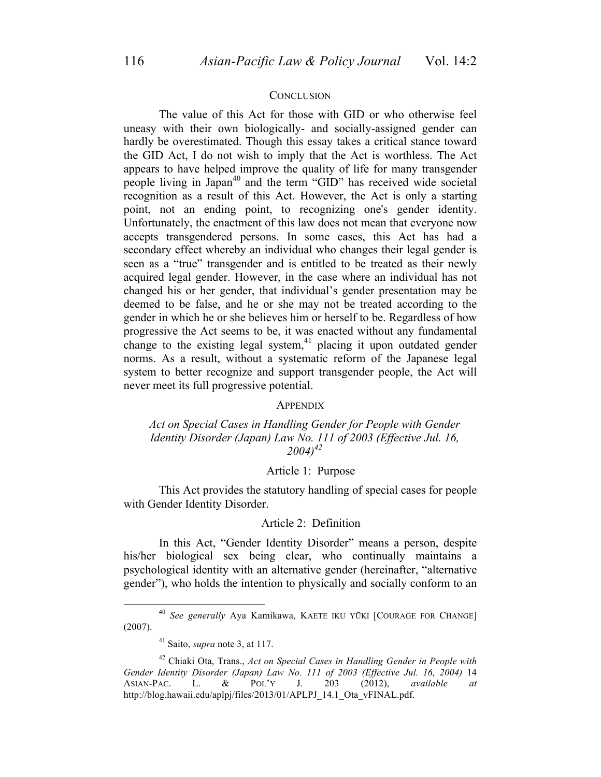#### **CONCLUSION**

The value of this Act for those with GID or who otherwise feel uneasy with their own biologically- and socially-assigned gender can hardly be overestimated. Though this essay takes a critical stance toward the GID Act, I do not wish to imply that the Act is worthless. The Act appears to have helped improve the quality of life for many transgender people living in Japan<sup>40</sup> and the term "GID" has received wide societal recognition as a result of this Act. However, the Act is only a starting point, not an ending point, to recognizing one's gender identity. Unfortunately, the enactment of this law does not mean that everyone now accepts transgendered persons. In some cases, this Act has had a secondary effect whereby an individual who changes their legal gender is seen as a "true" transgender and is entitled to be treated as their newly acquired legal gender. However, in the case where an individual has not changed his or her gender, that individual's gender presentation may be deemed to be false, and he or she may not be treated according to the gender in which he or she believes him or herself to be. Regardless of how progressive the Act seems to be, it was enacted without any fundamental change to the existing legal system,  $41$  placing it upon outdated gender norms. As a result, without a systematic reform of the Japanese legal system to better recognize and support transgender people, the Act will never meet its full progressive potential.

#### APPENDIX

### *Act on Special Cases in Handling Gender for People with Gender Identity Disorder (Japan) Law No. 111 of 2003 (Effective Jul. 16, 2004)42*

### Article 1: Purpose

This Act provides the statutory handling of special cases for people with Gender Identity Disorder.

#### Article 2: Definition

In this Act, "Gender Identity Disorder" means a person, despite his/her biological sex being clear, who continually maintains a psychological identity with an alternative gender (hereinafter, "alternative gender"), who holds the intention to physically and socially conform to an

 <sup>40</sup> *See generally* Aya Kamikawa, KAETE IKU YŪKI [COURAGE FOR CHANGE] (2007).

<sup>41</sup> Saito, *supra* note 3, at 117.

<sup>42</sup> Chiaki Ota, Trans., *Act on Special Cases in Handling Gender in People with Gender Identity Disorder (Japan) Law No. 111 of 2003 (Effective Jul. 16, 2004)* 14 ASIAN-PAC. L. & POL'Y J. 203 (2012), *available at*  http://blog.hawaii.edu/aplpj/files/2013/01/APLPJ\_14.1\_Ota\_vFINAL.pdf.